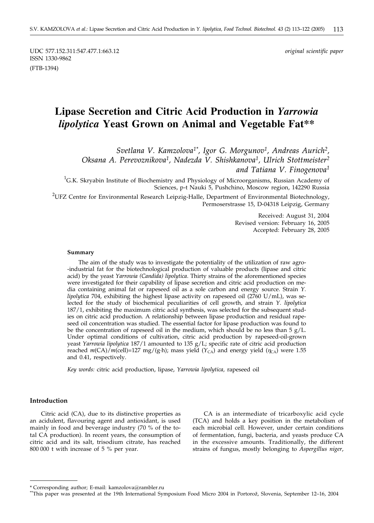UDC 577.152.311:547.477.1:663.12 *original scientific paper* ISSN 1330-9862 (FTB-1394)

# **Lipase Secretion and Citric Acid Production in** *Yarrowia lipolytica* **Yeast Grown on Animal and Vegetable Fat\*\***

*Svetlana V. Kamzolova1\*, Igor G. Morgunov1, Andreas Aurich2, Oksana A. Perevoznikova1, Nadezda V. Shishkanova1, Ulrich Stottmeister2 and Tatiana V. Finogenova1*

 ${}^{1}$ G.K. Skryabin Institute of Biochemistry and Physiology of Microorganisms, Russian Academy of Sciences, p-t Nauki 5, Pushchino, Moscow region, 142290 Russia

<sup>2</sup>UFZ Centre for Environmental Research Leipzig-Halle, Department of Environmental Biotechnology, Permoserstrasse 15, D-04318 Leipzig, Germany

> Received: August 31, 2004 Revised version: February 16, 2005 Accepted: February 28, 2005

#### **Summary**

The aim of the study was to investigate the potentiality of the utilization of raw agro- -industrial fat for the biotechnological production of valuable products (lipase and citric acid) by the yeast *Yarrowia (Candida) lipolytica*. Thirty strains of the aforementioned species were investigated for their capability of lipase secretion and citric acid production on media containing animal fat or rapeseed oil as a sole carbon and energy source. Strain *Y. lipolytica* 704, exhibiting the highest lipase activity on rapeseed oil (2760 U/mL), was selected for the study of biochemical peculiarities of cell growth, and strain *Y. lipolytica* 187/1, exhibiting the maximum citric acid synthesis, was selected for the subsequent studies on citric acid production. A relationship between lipase production and residual rapeseed oil concentration was studied. The essential factor for lipase production was found to be the concentration of rapeseed oil in the medium, which should be no less than  $5 g/L$ . Under optimal conditions of cultivation, citric acid production by rapeseed-oil-grown yeast *Yarrowia lipolytica* 187/1 amounted to 135 g/L; specific rate of citric acid production reached  $m(CA)/m$ (cell)=127 mg/(g·h); mass yield  $(Y_{CA})$  and energy yield  $(\eta_{CA})$  were 1.55 and 0.41, respectively.

*Key words:* citric acid production, lipase, *Yarrowia lipolytica,* rapeseed oil

#### **Introduction**

Citric acid (CA), due to its distinctive properties as an acidulent, flavouring agent and antioxidant, is used mainly in food and beverage industry (70 % of the total CA production). In recent years, the consumption of citric acid and its salt, trisodium citrate, has reached 800 000 t with increase of 5 % per year.

CA is an intermediate of tricarboxylic acid cycle (TCA) and holds a key position in the metabolism of each microbial cell. However, under certain conditions of fermentation, fungi, bacteria, and yeasts produce CA in the excessive amounts. Traditionally, the different strains of fungus, mostly belonging to *Aspergillus niger*,

<sup>\*</sup> Corresponding author; E-mail: kamzolova*@*rambler.ru

<sup>\*</sup>This paper was presented at the 19th International Symposium Food Micro 2004 in Portorož, Slovenia, September 12-16, 2004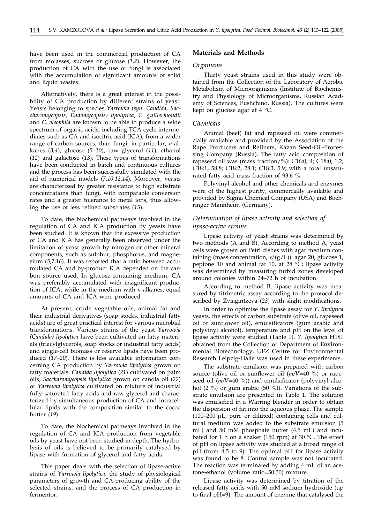have been used in the commercial production of CA from molasses, sucrose or glucose (*1,2*). However, the production of CA with the use of fungi is associated with the accumulation of significant amounts of solid and liquid wastes.

Alternatively, there is a great interest in the possibility of CA production by different strains of yeast. Yeasts belonging to species *Yarrowia (syn. Candida, Saccharomycopsis, Endomycopsis) lipolytica*, *C. guillermondii* and *C. oleophila* are known to be able to produce a wide spectrum of organic acids, including TCA cycle intermediates such as CA and isocitric acid (ICA), from a wider range of carbon sources, than fungi, in particular, *n*-alkanes (*3,4*)*,* glucose (*5–10*), raw glycerol (*11*)*,* ethanol (*12*) and galactose (*13*)*.* These types of transformations have been conducted in batch and continuous cultures and the process has been successfully simulated with the aid of numerical models (*7,10,12,14*)*.* Moreover, yeasts are characterized by greater resistance to high substrate concentrations than fungi, with comparable conversion rates and a greater tolerance to metal ions, thus allowing the use of less refined substrates (*15*).

To date, the biochemical pathways involved in the regulation of CA and ICA production by yeasts have been studied. It is known that the excessive production of CA and ICA has generally been observed under the limitation of yeast growth by nitrogen or other mineral components, such as sulphur, phosphorus, and magnesium (*5,7,16*). It was reported that a ratio between accumulated CA and by-product ICA depended on the carbon source used. In glucose-containing medium, CA was preferably accumulated with insignificant production of ICA, while in the medium with *n*-alkanes, equal amounts of CA and ICA were produced.

At present, crude vegetable oils, animal fat and their industrial derivatives (soap stocks, industrial fatty acids) are of great practical interest for various microbial transformations. Various strains of the yeast *Yarrowia (Candida) lipolytica* have been cultivated on fatty materials (triacylglycerols, soap stocks or industrial fatty acids) and single-cell biomass or reserve lipids have been produced (*17–20*)*.* There is less available information concerning CA production by *Yarrowia lipolytica* grown on fatty materials: *Candida lipolytica* (*21*) cultivated on palm oils, *Saccharomycopsis lipolytica* grown on canola oil (*22*) or *Yarrowia lipolytica* cultivated on mixture of industrial fully saturated fatty acids and raw glycerol and characterized by simultaneous production of CA and intracellular lipids with the composition similar to the cocoa butter (*19*).

To date, the biochemical pathways involved in the regulation of CA and ICA production from vegetable oils by yeast have not been studied in depth. The hydrolysis of oils is believed to be primarily catalysed by lipase with formation of glycerol and fatty acids.

This paper deals with the selection of lipase-active strains of *Yarrowia lipolytica,* the study of physiological parameters of growth and CA-producing ability of the selected strains, and the process of CA production in fermentor.

## **Materials and Methods**

#### *Organisms*

Thirty yeast strains used in this study were obtained from the Collection of the Laboratory of Aerobic Metabolism of Microorganisms (Institute of Biochemistry and Physiology of Microorganisms, Russian Academy of Sciences, Pushchino, Russia). The cultures were kept on glucose agar at 4 °C.

#### *Chemicals*

Animal (beef) fat and rapeseed oil were commercially available and provided by the Association of the Rape Producers and Refiners, Kazan Seed-Oil-Processing Company (Russia). The fatty acid composition of rapeseed oil was (mass fraction/%): C16:0, 4; C18:0, 1.2; C18:1, 58.8; C18:2, 28.1; C18:3, 5.9; with a total unsaturated fatty acid mass fraction of 93.6 %.

Polyvinyl alcohol and other chemicals and enzymes were of the highest purity, commercially available and provided by Sigma Chemical Company (USA) and Boehringer Mannheim (Germany).

## *Determination of lipase activity and selection of lipase-active strains*

Lipase activity of yeast strains was determined by two methods (A and B). According to method A, yeast cells were grown on Petri dishes with agar medium containing (mass concentration,  $\gamma$ /(g/L)): agar 20, glucose 1, peptone 10 and animal fat 10, at 28 °C; lipase activity was determined by measuring turbid zones developed around colonies within 24–72 h of incubation.

According to method B, lipase activity was measured by titrimetric assay according to the protocol described by Zviagintzeva (*23*) with slight modifications.

In order to optimise the lipase assay for *Y. lipolytica* yeasts*,* the effects of carbon substrate (olive oil, rapeseed oil or sunflower oil), emulsificators (gum arabic and polyvinyl alcohol), temperature and pH on the level of lipase activity were studied (Table 1). *Y. lipolytica* H181 obtained from the Collection of Department of Environmental Biotechnology, UFZ Centre for Environmental Research Leipzig-Halle was used in these experiments.

The substrate emulsion was prepared with carbon source (olive oil or sunflower oil (*m/V*=40 %) or rapeseed oil (*m/V*=40 %)) and emulsificator (polyvinyl alcohol (2 %) or gum arabic (50 %)). Variations of the substrate emulsion are presented in Table 1. The solution was emulsified in a Warring blender in order to obtain the dispersion of fat into the aqueous phase. The sample  $(100-200 \mu L)$ , pure or diluted) containing cells and cultural medium was added to the substrate emulsion (5 mL) and 50 mM phosphate buffer (4.5 mL) and incubated for 1 h on a shaker (150 rpm) at 30  $^{\circ}$ C. The effect of pH on lipase activity was studied at a broad range of pH (from 4.5 to 9). The optimal pH for lipase activity was found to be 8. Control sample was not incubated. The reaction was terminated by adding 4 mL of an acetone-ethanol (volume ratio=50:50) mixture.

Lipase activity was determined by titration of the released fatty acids with 50 mM sodium hydroxide (up to final pH=9). The amount of enzyme that catalysed the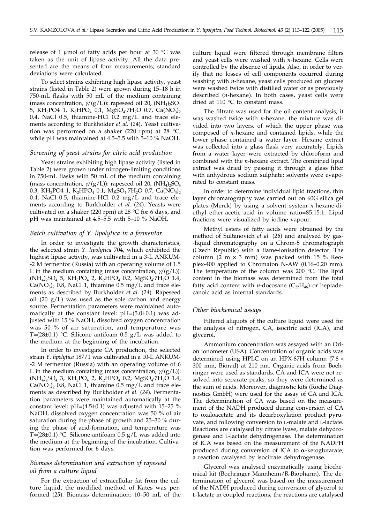release of 1 µmol of fatty acids per hour at 30  $^{\circ}$ C was taken as the unit of lipase activity. All the data presented are the means of four measurements; standard deviations were calculated.

To select strains exhibiting high lipase activity, yeast strains (listed in Table 2) were grown during 15–18 h in 750-mL flasks with 50 mL of the medium containing (mass concentration,  $\gamma$ /(g/L)): rapeseed oil 20, (NH<sub>4</sub>)<sub>2</sub>SO<sub>4</sub> 5, KH<sub>2</sub>PO4 1, K<sub>2</sub>HPO<sub>4</sub> 0.1, MgSO<sub>4</sub>·7H<sub>2</sub>O 0.7, Ca(NO<sub>3</sub>)<sub>2</sub> 0.4, NaCl 0.5, thiamine-HCl  $0.2 \text{ mg/L}$  and trace elements according to Burkholder *et al.* (*24*). Yeast cultivation was performed on a shaker (220 rpm) at 28 °C, while pH was maintained at 4.5–5.5 with 5–10 % NaOH.

#### *Screening of yeast strains for citric acid production*

Yeast strains exhibiting high lipase activity (listed in Table 2) were grown under nitrogen-limiting conditions in 750-mL flasks with 50 mL of the medium containing (mass concentration,  $\gamma$ /(g/L)): rapeseed oil 20, (NH<sub>4</sub>)<sub>2</sub>SO<sub>4</sub> 0.3, KH<sub>2</sub>PO4 1, K<sub>2</sub>HPO<sub>4</sub> 0.1, MgSO<sub>4</sub>·7H<sub>2</sub>O 0.7, Ca(NO<sub>3</sub>)<sub>2</sub> 0.4, NaCl 0.5, thiamine-HCl 0.2 mg/L and trace elements according to Burkholder *et al.* (*24*). Yeasts were cultivated on a shaker (220 rpm) at 28 °C for 6 days, and pH was maintained at 4.5–5.5 with 5–10 % NaOH.

## *Batch cultivation of Y. lipolytica in a fermentor*

In order to investigate the growth characteristics, the selected strain *Y. lipolytica* 704, which exhibited the highest lipase activity, was cultivated in a 3-L ANKUM- -2 M fermentor (Russia) with an operating volume of 1.5 L in the medium containing (mass concentration,  $\gamma/(g/L)$ ):  $(NH_4)_2SO_4$  5,  $KH_2PO_4$  2,  $K_2HPO_4$  0.2,  $MgSO_4 \cdot 7H_2O$  1.4,  $Ca(NO<sub>3</sub>)$ , 0.8, NaCl 1, thiamine 0.5 mg/L and trace elements as described by Burkholder *et al.* (*24*)*.* Rapeseed oil (20  $g/L$ ) was used as the sole carbon and energy source. Fermentation parameters were maintained automatically at the constant level: pH=(5.0±0.1) was adjusted with 15 % NaOH, dissolved oxygen concentration was 50 % of air saturation, and temperature was *T*=(28 $\pm$ 0.1) °C. Silicone antifoam 0.5 g/L was added to the medium at the beginning of the incubation.

In order to investigate CA production, the selected strain *Y. lipolytica* 187/1 was cultivated in a 10-L ANKUM- -2 M fermentor (Russia) with an operating volume of 6 L in the medium containing (mass concentration,  $\gamma/(g/L)$ ):  $(NH_4)_2SO_4$  3,  $KH_2PO_4$  2,  $K_2HPO_4$  0.2,  $MgSO_4$ ·7 $H_2O$  1.4,  $Ca(NO<sub>3</sub>)<sub>2</sub>$  0.8, NaCl 1, thiamine 0.5 mg/L and trace elements as described by Burkholder *et al.* (*24*)*.* Fermentation parameters were maintained automatically at the constant level: pH=(4.5±0.1) was adjusted with 15–25 % NaOH, dissolved oxygen concentration was 50 % of air saturation during the phase of growth and 25–30 % during the phase of acid-formation, and temperature was *T*=(28±0.1) °C. Silicone antifoam 0.5 g/L was added into the medium at the beginning of the incubation. Cultivation was performed for 6 days.

## *Biomass determination and extraction of rapeseed oil from a culture liquid*

For the extraction of extracellular fat from the culture liquid, the modified method of Kates was performed (*25*). Biomass determination: 10–50 mL of the culture liquid were filtered through membrane filters and yeast cells were washed with *n*-hexane. Cells were controlled by the absence of lipids. Also, in order to verify that no losses of cell components occurred during washing with *n*-hexane, yeast cells produced on glucose were washed twice with distilled water or as previously described (*n*-hexane). In both cases, yeast cells were dried at 110 °C to constant mass.

The filtrate was used for the oil content analysis; it was washed twice with *n*-hexane, the mixture was divided into two layers, of which the upper phase was composed of *n*-hexane and contained lipids, while the lower phase contained a water layer. Hexane extract was collected into a glass flask very accurately. Lipids from a water layer were extracted by chloroform and combined with the *n*-hexane extract. The combined lipid extract was dried by passing it through a glass filter with anhydrous sodium sulphate; solvents were evaporated to constant mass.

In order to determine individual lipid fractions, thin layer chromatography was carried out on 60G silica gel plates (Merck) by using a solvent system *n*-hexane-diethyl ether-acetic acid in volume ratio=85:15:1. Lipid fractions were visualized by iodine vapour.

Methyl esters of fatty acids were obtained by the method of Sultanovich *et al.* (*26*) and analysed by gas- -liquid chromatography on a Chrom-5 chromatograph (Czech Republic) with a flame-ionisation detector. The column (2 m  $\times$  3 mm) was packed with 15 % Reoplex-400 applied to Chromaton N-AW (0.16–0.20 mm). The temperature of the column was 200 °C. The lipid content in the biomass was determined from the total fatty acid content with *n*-docosane  $(C_{22}H_{46})$  or heptadecanoic acid as internal standards.

#### *Other biochemical assays*

Filtered aliquots of the culture liquid were used for the analysis of nitrogen, CA, isocitric acid (ICA), and glycerol.

Ammonium concentration was assayed with an Orion ionometer (USA). Concentration of organic acids was determined using HPLC on an HPX-87H column (7.8  $\times$ 300 mm, Biorad) at 210 nm. Organic acids from Boehringer were used as standards. CA and ICA were not resolved into separate peaks, so they were determined as the sum of acids. Moreover, diagnostic kits (Roche Diagnostics GmbH) were used for the assay of CA and ICA. The determination of CA was based on the measurement of the NADH produced during conversion of CA to oxaloacetate and its decarboxylation product pyruvate, and following conversion to L-malate and L-lactate. Reactions are catalysed by citrate lyase, malate dehydrogenase and L-lactate dehydrogenase. The determination of ICA was based on the measurement of the NADPH produced during conversion of ICA to  $\alpha$ -ketoglutarate, a reaction catalysed by isocitrate dehydrogenase.

Glycerol was analysed enzymatically using biochemical kit (Boehringer Mannheim/R-Biopharm). The determination of glycerol was based on the measurement of the NADH produced during conversion of glycerol to L-lactate in coupled reactions, the reactions are catalysed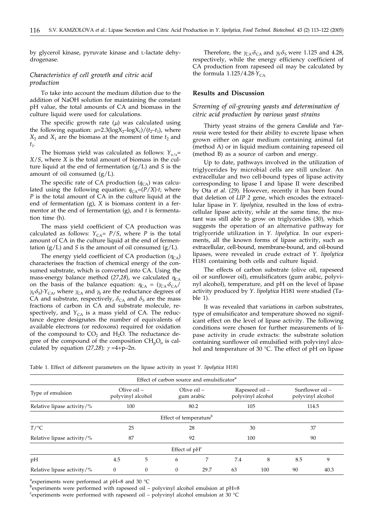by glycerol kinase, pyruvate kinase and L-lactate dehydrogenase.

## *Characteristics of cell growth and citric acid production*

To take into account the medium dilution due to the addition of NaOH solution for maintaining the constant pH value, the total amounts of CA and biomass in the culture liquid were used for calculations.

The specific growth rate (*m*) was calculated using the following equation:  $\mu$ =2.3(logX<sub>2</sub>-logX<sub>1</sub>)/( $t_2$ - $t_1$ ), where  $X_2$  and  $X_1$  are the biomass at the moment of time  $t_2$  and  $t_1$ .

The biomass yield was calculated as follows:  $Y_{\gamma/\text{s}}$ = *X*/*S*, where *X* is the total amount of biomass in the culture liquid at the end of fermentation (g/L) and *S* is the amount of oil consumed  $(g/L)$ .

The specific rate of CA production  $(q_{CA})$  was calculated using the following equation:  $q_{CA} = (P/X) \cdot t$ ; where *P* is the total amount of CA in the culture liquid at the end of fermentation (g), *X* is biomass content in a fermentor at the end of fermentation (g), and *t* is fermentation time (h).

The mass yield coefficient of CA production was calculated as follows:  $Y_{CA} = P/S$ , where *P* is the total amount of CA in the culture liquid at the end of fermentation  $(g/L)$  and *S* is the amount of oil consumed  $(g/L)$ .

The energy yield coefficient of CA production  $(\eta_{CA})$ characterises the fraction of chemical energy of the consumed substrate, which is converted into CA. Using the mass-energy balance method (27,28), we calculated  $\eta_{CA}$ on the basis of the balance equation:  $\eta_{CA} = (\gamma_{CA} \delta_{CA}/\gamma_{CA}))$  $\gamma_S \delta_S$ *·Y*<sub>CA</sub>, where  $\gamma_{CA}$  and  $\gamma_S$  are the reductance degrees of CA and substrate, respectively,  $\delta_{CA}$  and  $\delta_{S}$  are the mass fractions of carbon in CA and substrate molecule, respectively, and  $Y_{CA}$  is a mass yield of CA. The reductance degree designates the number of equivalents of available electrons (or redoxons) required for oxidation of the compound to  $CO<sub>2</sub>$  and  $H<sub>2</sub>O$ . The reductance degree of the compound of the composition  $CH_pO_n$  is calculated by equation  $(27,28)$ :  $\gamma = 4+p-2n$ .

Therefore, the  $\gamma_{CA}\delta_{CA}$  and  $\gamma_S\delta_S$  were 1.125 and 4.28, respectively, while the energy efficiency coefficient of CA production from rapeseed oil may be calculated by the formula  $1.125/4.28\cdot\bar{Y}_{CA.}$ 

## **Results and Discussion**

*Screening of oil-growing yeasts and determination of citric acid production by various yeast strains*

Thirty yeast strains of the genera *Candida* and *Yarrowia* were tested for their ability to excrete lipase when grown either on agar medium containing animal fat (method A) or in liquid medium containing rapeseed oil (method B) as a source of carbon and energy.

Up to date, pathways involved in the utilization of triglycerides by microbial cells are still unclear. An extracellular and two cell-bound types of lipase activity corresponding to lipase I and lipase II were described by Ota *et al*. (*29*)*.* However, recently it has been found that deletion of *LIP 2* gene, which encodes the extracellular lipase in *Y. lipolytica,* resulted in the loss of extracellular lipase activity, while at the same time, the mutant was still able to grow on triglycerides (*30*)*,* which suggests the operation of an alternative pathway for triglyceride utilization in *Y. lipolytica.* In our experiments, all the known forms of lipase activity, such as extracellular, cell-bound, membrane-bound, and oil-bound lipases, were revealed in crude extract of *Y. lipolytica* H181 containing both cells and culture liquid.

The effects of carbon substrate (olive oil, rapeseed oil or sunflower oil), emulsificators (gum arabic, polyvinyl alcohol), temperature, and pH on the level of lipase activity produced by *Y. lipolytica* H181 were studied (Table 1).

It was revealed that variations in carbon substrates, type of emulsificator and temperature showed no significant effect on the level of lipase activity. The following conditions were chosen for further measurements of lipase activity in crude extracts: the substrate solution containing sunflower oil emulsified with polyvinyl alcohol and temperature of 30 °C. The effect of pH on lipase

Table 1. Effect of different parameters on the lipase activity in yeast *Y. lipolytica* H181

| Effect of carbon source and emulsificator <sup>a</sup> |                                  |          |                                    |      |     |                                     |                                      |      |
|--------------------------------------------------------|----------------------------------|----------|------------------------------------|------|-----|-------------------------------------|--------------------------------------|------|
| Type of emulsion                                       | Olive oil –<br>polyvinyl alcohol |          | Olive $oil -$<br>gum arabic        |      |     | Rapeseed oil -<br>polyvinyl alcohol | Sunflower oil –<br>polyvinyl alcohol |      |
| Relative lipase activity/%                             | 100                              |          | 80.2                               |      | 105 |                                     | 114.5                                |      |
|                                                        |                                  |          | Effect of temperature <sup>b</sup> |      |     |                                     |                                      |      |
| $T$ /°C                                                | 25                               |          | 28                                 |      | 30  |                                     | 37                                   |      |
| Relative lipase activity/%                             | 87                               |          | 92                                 |      | 100 |                                     | 90                                   |      |
|                                                        |                                  |          | Effect of $pH^c$                   |      |     |                                     |                                      |      |
| pH                                                     | 4.5                              | 5        | 6                                  | 7    | 7.4 | 8                                   | 8.5                                  | 9    |
| Relative lipase activity/ $\%$                         | $\theta$                         | $\Omega$ | $\Omega$                           | 29.7 | 63  | 100                                 | 90                                   | 40.3 |

<sup>a</sup> experiments were performed at pH=8 and 30 °C

bexperiments were performed with rapeseed oil - polyvinyl alcohol emulsion at pH=8

c experiments were performed with rapeseed oil – polyvinyl alcohol emulsion at 30 °C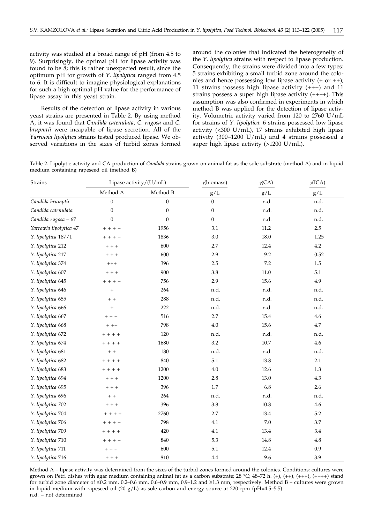activity was studied at a broad range of pH (from 4.5 to 9). Surprisingly, the optimal pH for lipase activity was found to be 8; this is rather unexpected result, since the optimum pH for growth of *Y. lipolytica* ranged from 4.5 to 6. It is difficult to imagine physiological explanations for such a high optimal pH value for the performance of lipase assay in this yeast strain.

Results of the detection of lipase activity in various yeast strains are presented in Table 2. By using method A, it was found that *Candida catenulata, C. rugosa* and *C. brupmtii* were incapable of lipase secretion. All of the *Yarrowia lipolytica* strains tested produced lipase. We observed variations in the sizes of turbid zones formed around the colonies that indicated the heterogeneity of the *Y. lipolytica* strains with respect to lipase production. Consequently, the strains were divided into a few types: 5 strains exhibiting a small turbid zone around the colonies and hence possessing low lipase activity  $(+ or ++)$ ; 11 strains possess high lipase activity (+++) and 11 strains possess a super high lipase activity (++++). This assumption was also confirmed in experiments in which method B was applied for the detection of lipase activity. Volumetric activity varied from 120 to 2760 U/mL for strains of *Y. lipolytica*: 6 strains possessed low lipase activity (<300 U/mL), 17 strains exhibited high lipase activity (300–1200 U/mL) and 4 strains possessed a super high lipase activity (>1200 U/mL).

Table 2. Lipolytic activity and CA production of *Candida* strains grown on animal fat as the sole substrate (method A) and in liquid medium containing rapeseed oil (method B)

| <b>Strains</b>         |                  | Lipase activity/(U/mL) | y(biomass)       | $\gamma$ (CA) | $\gamma$ ICA) |  |
|------------------------|------------------|------------------------|------------------|---------------|---------------|--|
|                        | Method A         | Method B               | $\rm g/L$        | $\rm g/L$     | $\rm g/L$     |  |
| Candida brumptii       | $\boldsymbol{0}$ | $\boldsymbol{0}$       | $\mathbf{0}$     | n.d.          | n.d.          |  |
| Candida catenulata     | $\boldsymbol{0}$ | $\boldsymbol{0}$       | $\boldsymbol{0}$ | n.d.          | n.d.          |  |
| Candida rugosa - 67    | $\overline{0}$   | $\overline{0}$         | $\theta$         | n.d.          | n.d.          |  |
| Yarrowia lipolytica 47 | $+ + + +$        | 1956                   | 3.1              | 11.2          | 2.5           |  |
| Y. lipolytica 187/1    | $+ + + +$        | 1836                   | 3.0              | 18.0          | 1.25          |  |
| Y. lipolytica 212      | $+ + +$          | 600                    | 2.7              | 12.4          | 4.2           |  |
| Y. lipolytica 217      | $+ + +$          | 600                    | 2.9              | 9.2           | 0.52          |  |
| Y. lipolytica 374      | $^{+++}$         | 396                    | 2.5              | 7.2           | 1.5           |  |
| Y. lipolytica 607      | $+ + +$          | 900                    | 3.8              | $11.0\,$      | 5.1           |  |
| Y. lipolytica 645      | $+ + + +$        | 756                    | 2.9              | 15.6          | 4.9           |  |
| Y. lipolytica 646      | $^{+}$           | 264                    | n.d.             | n.d.          | n.d.          |  |
| Y. lipolytica 655      | $+ +$            | 288                    | n.d.             | n.d.          | n.d.          |  |
| Y. lipolytica 666      | $\boldsymbol{+}$ | 222                    | n.d.             | n.d.          | n.d.          |  |
| Y. lipolytica 667      | $+ + +$          | 516                    | 2.7              | 15.4          | 4.6           |  |
| Y. lipolytica 668      | $+ + +$          | 798                    | 4.0              | 15.6          | 4.7           |  |
| Y. lipolytica 672      | $+ + + +$        | 120                    | n.d.             | n.d.          | n.d.          |  |
| Y. lipolytica 674      | $+ + + +$        | 1680                   | 3.2              | $10.7\,$      | 4.6           |  |
| Y. lipolytica 681      | $+ +$            | 180                    | n.d.             | n.d.          | n.d.          |  |
| Y. lipolytica 682      | $+ + + +$        | 840                    | 5.1              | 13.8          | 2.1           |  |
| Y. lipolytica 683      | $+ + + +$        | 1200                   | 4.0              | 12.6          | 1.3           |  |
| Y. lipolytica 694      | $+ + +$          | 1200                   | 2.8              | 13.0          | 4.3           |  |
| Y. lipolytica 695      | $+ + +$          | 396                    | 1.7              | 6.8           | 2.6           |  |
| Y. lipolytica 696      | $+ +$            | 264                    | n.d.             | n.d.          | n.d.          |  |
| Y. lipolytica 702      | $+ + +$          | 396                    | 3.8              | $10.8\,$      | 4.6           |  |
| Y. lipolytica 704      | $+ + + +$        | 2760                   | 2.7              | 13.4          | 5.2           |  |
| Y. lipolytica 706      | $+ + + +$        | 798                    | 4.1              | $7.0\,$       | 3.7           |  |
| Y. lipolytica 709      | $+ + + +$        | 420                    | 4.1              | 13.4          | $3.4\,$       |  |
| Y. lipolytica 710      | $+ + + +$        | 840                    | 5.3              | 14.8          | 4.8           |  |
| Y. lipolytica 711      | $+ + +$          | 600                    | 5.1              | 12.4          | 0.9           |  |
| Y. lipolytica 716      | $+ + +$          | 810                    | 4.4              | 9.6           | 3.9           |  |

Method A – lipase activity was determined from the sizes of the turbid zones formed around the colonies. Conditions: cultures were grown on Petri dishes with agar medium containing animal fat as a carbon substrate; 28 °C; 48–72 h. (+), (++), (++++), (++++) stand for turbid zone diameter of  $\leq 0.2$  mm, 0.2–0.6 mm, 0.6–0.9 mm, 0.9–1.2 and  $\geq 1.3$  mm, respectively. Method B – cultures were grown in liquid medium with rapeseed oil (20  $g/L$ ) as sole carbon and energy source at 220 rpm (pH=4.5–5.5) n.d. – not determined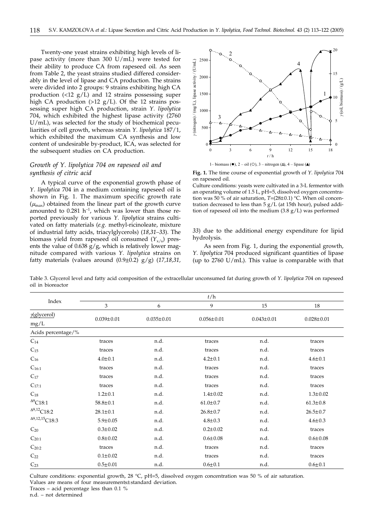Twenty-one yeast strains exhibiting high levels of lipase activity (more than 300 U/mL) were tested for their ability to produce CA from rapeseed oil. As seen from Table 2, the yeast strains studied differed considerably in the level of lipase and CA production. The strains were divided into 2 groups: 9 strains exhibiting high CA production  $(\langle 12 \text{ g/L} \rangle)$  and 12 strains possessing super high CA production  $(>12 \text{ g/L})$ . Of the 12 strains possessing super high CA production, strain *Y. lipolytica* 704, which exhibited the highest lipase activity (2760 U/mL), was selected for the study of biochemical peculiarities of cell growth, whereas strain *Y. lipolytica* 187/1, which exhibited the maximum CA synthesis and low content of undesirable by-product, ICA, was selected for the subsequent studies on CA production.

## *Growth of Y. lipolytica 704 on rapeseed oil and synthesis of citric acid*

A typical curve of the exponential growth phase of *Y. lipolytica* 704 in a medium containing rapeseed oil is shown in Fig. 1. The maximum specific growth rate  $(\mu_{\text{max}})$  obtained from the linear part of the growth curve amounted to  $0.281$  h<sup>-1</sup>, which was lower than those reported previously for various *Y. lipolytica* strains cultivated on fatty materials (*e.g.* methyl-ricinoleate, mixture of industrial fatty acids, triacylglycerols) (*18,31–33*). The biomass yield from rapeseed oil consumed  $(Y_{x/s})$  presents the value of 0.638  $g/g$ , which is relatively lower magnitude compared with various *Y. lipolytica* strains on fatty materials (values around (0.9±0.2) g/g) (*17,18,31,*



**Fig. 1.** The time course of exponential growth of *Y. lipolytica* 704

on rapeseed oil. Culture conditions: yeasts were cultivated in a 3-L fermentor with an operating volume of 1.5 L, pH=5, dissolved oxygen concentration was 50 % of air saturation, *T*=(28±0.1) °C. When oil concentration decreased to less than 5 g/L (at 15th hour), pulsed addition of rapeseed oil into the medium (3.8 g/L) was performed

*33*) due to the additional energy expenditure for lipid hydrolysis*.*

As seen from Fig. 1, during the exponential growth, *Y. lipolytica* 704 produced significant quantities of lipase (up to  $2760$  U/mL). This value is comparable with that

Table 3. Glycerol level and fatty acid composition of the extracellular unconsumed fat during growth of *Y. lipolytica* 704 on rapeseed oil in bioreactor

| Index                             | t/h              |                  |                  |                  |                  |  |  |  |
|-----------------------------------|------------------|------------------|------------------|------------------|------------------|--|--|--|
|                                   | 3                | 6                | 9                | 15               | 18               |  |  |  |
| $y$ (glycerol)                    | $0.039 \pm 0.01$ |                  | $0.056 \pm 0.01$ |                  |                  |  |  |  |
| mg/L                              |                  | $0.035 \pm 0.01$ |                  | $0.043 \pm 0.01$ | $0.028 \pm 0.01$ |  |  |  |
| Acids percentage/%                |                  |                  |                  |                  |                  |  |  |  |
| $C_{14}$                          | traces           | n.d.             | traces           | n.d.             | traces           |  |  |  |
| $C_{15}$                          | traces           | n.d.             | traces           | n.d.             | traces           |  |  |  |
| $C_{16}$                          | $4.0 \pm 0.1$    | n.d.             | $4.2 \pm 0.1$    | n.d.             | $4.6 \pm 0.1$    |  |  |  |
| $C_{16:1}$                        | traces           | n.d.             | traces           | n.d.             | traces           |  |  |  |
| $C_{17}$                          | traces           | n.d.             | traces           | n.d.             | traces           |  |  |  |
| $C_{17:1}$                        | traces           | n.d.             | traces           | n.d.             | traces           |  |  |  |
| $C_{18}$                          | $1.2 \pm 0.1$    | n.d.             | $1.4 \pm 0.02$   | n.d.             | $1.3 \pm 0.02$   |  |  |  |
| $\mathrm{^{\Delta 9}C18:1}$       | $58.8 \pm 0.1$   | n.d.             | $61.0 \pm 0.7$   | n.d.             | $61.3 \pm 0.8$   |  |  |  |
| $^{\Delta 9,12} \text{C18:2}$     | $28.1 \pm 0.1$   | n.d.             | $26.8 \pm 0.7$   | n.d.             | $26.5 \pm 0.7$   |  |  |  |
| ${}^{\Delta 9,12,15}\text{C}18:3$ | $5.9 \pm 0.05$   | n.d.             | $4.8 \pm 0.3$    | n.d.             | $4.6 \pm 0.3$    |  |  |  |
| $C_{20}$                          | $0.3 \pm 0.02$   | n.d.             | $0.2 \pm 0.02$   | n.d.             | traces           |  |  |  |
| $C_{20:1}$                        | $0.8 + 0.02$     | n.d.             | $0.6 \pm 0.08$   | n.d.             | $0.6 \pm 0.08$   |  |  |  |
| $C_{20:2}$                        | traces           | n.d.             | traces           | n.d.             | traces           |  |  |  |
| $C_{22}$                          | $0.1 \pm 0.02$   | n.d.             | traces           | n.d.             | traces           |  |  |  |
| $C_{23}$                          | $0.5 \pm 0.01$   | n.d.             | $0.6 \pm 0.1$    | n.d.             | $0.6 \pm 0.1$    |  |  |  |

Culture conditions: exponential growth, 28 °C, pH=5, dissolved oxygen concentration was 50 % of air saturation. Values are means of four measurements±standard deviation.

Traces – acid percentage less than 0.1 %

n.d. – not determined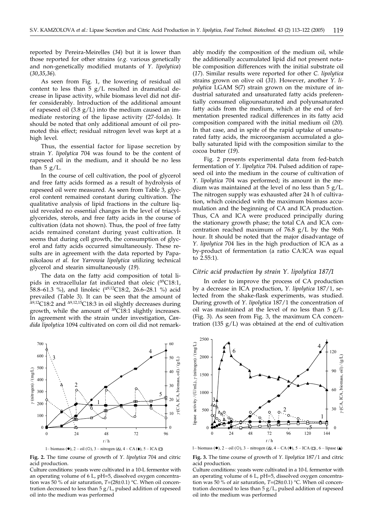reported by Pereira-Meirelles (*34*) but it is lower than those reported for other strains (*e.g.* various genetically and non-genetically modified mutants of *Y. lipolytica*) (*30,35,36*)*.*

As seen from Fig. 1, the lowering of residual oil content to less than  $\bar{5}$  g/L resulted in dramatical decrease in lipase activity, while biomass level did not differ considerably. Introduction of the additional amount of rapeseed oil  $(3.8 \text{ g/L})$  into the medium caused an immediate restoring of the lipase activity (27-folds). It should be noted that only additional amount of oil promoted this effect; residual nitrogen level was kept at a high level.

Thus, the essential factor for lipase secretion by strain *Y. lipolytica* 704 was found to be the content of rapeseed oil in the medium, and it should be no less than  $5 g/L$ .

In the course of cell cultivation, the pool of glycerol and free fatty acids formed as a result of hydrolysis of rapeseed oil were measured. As seen from Table 3, glycerol content remained constant during cultivation. The qualitative analysis of lipid fractions in the culture liquid revealed no essential changes in the level of triacylglycerides, sterols, and free fatty acids in the course of cultivation (data not shown). Thus, the pool of free fatty acids remained constant during yeast cultivation. It seems that during cell growth, the consumption of glycerol and fatty acids occurred simultaneously. These results are in agreement with the data reported by Papanikolaou *et al.* for *Yarrowia lipolytica* utilizing technical glycerol and stearin simultaneously (*19*)*.*

The data on the fatty acid composition of total lipids in extracellular fat indicated that oleic  $(^{49}C18:1$ , 58.8–61.3 %), and linoleic ( $\Delta^{9,12}$ C18:2, 26.6–28.1 %) acid prevailed (Table 3). It can be seen that the amount of  $\Delta$ 9,12C18:2 and  $\Delta$ 9,12,15C18:3 in oil slightly decreases during growth, while the amount of  $^{49}$ C18:1 slightly increases. In agreement with the strain under investigation, *Candida lipolytica* 1094 cultivated on corn oil did not remark-





**Fig. 2.** The time course of growth of *Y. lipolytica* 704 and citric acid production.

Culture conditions: yeasts were cultivated in a 10-L fermentor with an operating volume of 6 L, pH=5, dissolved oxygen concentration was 50 % of air saturation, *T*=(28±0.1) °C. When oil concentration decreased to less than 5 g/L, pulsed addition of rapeseed oil into the medium was performed

ably modify the composition of the medium oil, while the additionally accumulated lipid did not present notable composition differences with the initial substrate oil (*17*). Similar results were reported for other *C. lipolytica* strains grown on olive oil (*31*)*.* However, another *Y. lipolytica* LGAM S(7) strain grown on the mixture of industrial saturated and unsaturated fatty acids preferentially consumed oligounsaturated and polyunsaturated fatty acids from the medium, which at the end of fermentation presented radical differences in its fatty acid composition compared with the initial medium oil (*20*)*.* In that case, and in spite of the rapid uptake of unsaturated fatty acids, the microorganism accumulated a globally saturated lipid with the composition similar to the cocoa butter (*19*).

Fig. 2 presents experimental data from fed-batch fermentation of *Y. lipolytica* 704. Pulsed addition of rapeseed oil into the medium in the course of cultivation of *Y. lipolytica* 704 was performed; its amount in the medium was maintained at the level of no less than 5 g/L. The nitrogen supply was exhausted after 24 h of cultivation, which coincided with the maximum biomass accumulation and the beginning of CA and ICA production. Thus, CA and ICA were produced principally during the stationary growth phase; the total CA and ICA concentration reached maximum of  $76.8 \text{ g/L}$  by the 96th hour. It should be noted that the major disadvantage of *Y. lipolytica* 704 lies in the high production of ICA as a by-product of fermentation (a ratio CA:ICA was equal to 2.55:1).

#### *Citric acid production by strain Y. lipolytica 187/1*

In order to improve the process of CA production by a decrease in ICA production, *Y. lipolytica* 187/1, selected from the shake-flask experiments, was studied. During growth of *Y. lipolytica* 187/1 the concentration of oil was maintained at the level of no less than  $5 \text{ g}/L$ (Fig. 3). As seen from Fig. 3, the maximum CA concentration (135  $g/L$ ) was obtained at the end of cultivation



1– biomass ( $\bullet$ ), 2 – oil (O), 3 – nitrogen ( $\triangle$ ), 4 – CA ( $\bullet$ ), 5 – ICA ( $\Box$ ), 6 – lipase ( $\triangle$ )

**Fig. 3.** The time course of growth of *Y. lipolytica* 187/1 and citric acid production.

Culture conditions: yeasts were cultivated in a 10-L fermentor with an operating volume of 6 L, pH=5, dissolved oxygen concentration was 50 % of air saturation, *T*=(28±0.1) °C. When oil concentration decreased to less than 5 g/L, pulsed addition of rapeseed oil into the medium was performed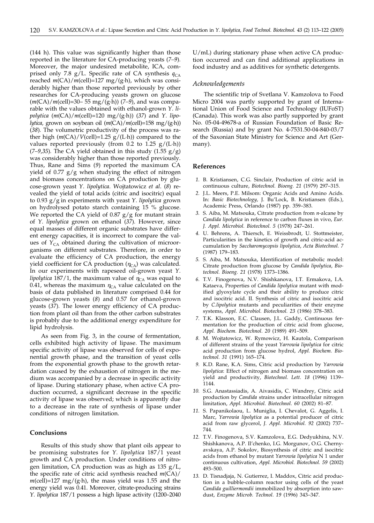(144 h). This value was significantly higher than those reported in the literature for CA-producing yeasts (*7–9*)*.* Moreover, the major undesired metabolite, ICA, comprised only 7.8 g/L. Specific rate of CA synthesis  $q_{CA}$ reached  $m(CA)/m$ (cell)=127 mg/(g·h), which was considerably higher than those reported previously by other researches for CA-producing yeasts grown on glucose (*m*(CA)/*m*(cell)=30– 55 mg/(g·h)) (*7–9*), and was comparable with the values obtained with ethanol-grown *Y. lipolytica*  $(m(CA)/m(cell)=120$  mg/(g·h)) (37) and *Y. lipolytica,* grown on soybean oil (*m*(CA)/*m*(cell)=158 mg/(g·h)) (*38*)*.* The volumetric productivity of the process was rather high  $(m(CA)/V(cell)=1.25 g/(L \cdot h))$  compared to the values reported previously (from 0.2 to 1.25  $g/(L \cdot h)$ )  $(7-9,35)$ . The CA yield obtained in this study  $(1.55 \text{ g/g})$ was considerably higher than those reported previously. Thus, Rane and Sims (*9*) reported the maximum CA yield of 0.77  $g/g$  when studying the effect of nitrogen and biomass concentrations on CA production by glucose-grown yeast *Y. lipolytica.* Wojtatowicz *et al*. (*8*) revealed the yield of total acids (citric and isocitric) equal to 0.93 g/g in experiments with yeast *Y. lipolytica* grown on hydrolysed potato starch containing 15 % glucose. We reported the CA yield of  $0.87$  g/g for mutant strain of *Y. lipolytica* grown on ethanol (*37*)*.* However, since equal masses of different organic substrates have different energy capacities, it is incorrect to compare the values of  $Y_{CA}$  obtained during the cultivation of microorganisms on different substrates. Therefore, in order to evaluate the efficiency of CA production, the energy yield coefficient for CA production  $(\eta_{CA})$  was calculated. In our experiments with rapeseed oil-grown yeast *Y. lipolytica* 187/1, the maximum value of  $\eta_{CA}$  was equal to 0.41, whereas the maximum  $\eta_{CA}$  value calculated on the basis of data published in literature comprised 0.44 for glucose-grown yeasts (*8*) and 0.57 for ethanol-grown yeasts (*37*)*.* The lower energy efficiency of CA production from plant oil than from the other carbon substrates is probably due to the additional energy expenditure for lipid hydrolysis.

As seen from Fig. 3, in the course of fermentation, cells exhibited high activity of lipase. The maximum specific activity of lipase was observed for cells of exponential growth phase, and the transition of yeast cells from the exponential growth phase to the growth retardation caused by the exhaustion of nitrogen in the medium was accompanied by a decrease in specific activity of lipase. During stationary phase, when active CA production occurred, a significant decrease in the specific activity of lipase was observed; which is apparently due to a decrease in the rate of synthesis of lipase under conditions of nitrogen limitation.

## **Conclusions**

Results of this study show that plant oils appear to be promising substrates for *Y. lipolytica* 187/1 yeast growth and CA production. Under conditions of nitrogen limitation, CA production was as high as 135 g/L, the specific rate of citric acid synthesis reached *m*(CA)/  $m$ (cell)=127 mg/(g·h), the mass yield was 1.55 and the energy yield was 0.41. Moreover, citrate-producing strains *Y. lipolytica* 187/1 possess a high lipase activity (1200–2040 U/mL) during stationary phase when active CA production occurred and can find additional applications in food industry and as additives for synthetic detergents.

#### *Acknowledgements*

The scientific trip of Svetlana V. Kamzolova to Food Micro 2004 was partly supported by grant of International Union of Food Science and Technology (IUFoST) (Canada). This work was also partly supported by grant No. 05-04-49678-a of Russian Foundation of Basic Research (Russia) and by grant No. 4-7531.50-04-840-03/7 of the Saxonian State Ministry for Science and Art (Germany).

## **References**

- *1.* B. Kristiansen, C.G. Sinclair, Production of citric acid in continuous culture, *Biotechnol. Bioeng. 21* (1979) 297–315.
- *2.* J.L. Meers, P.E. Milsom: Organic Acids and Amino Acids. In: *Basic Biotechnology,* J. Bu'Lock, B. Kristiansen (Eds.), Academic Press, Orlando (1987) pp. 359–383.
- *3.* S. Aiba, M. Matsouka, Citrate production from *n*-alcane by *Candida lipolytica* in reference to carbon fluxes in vivo, *Eur. J. Appl. Microbiol. Biotechnol. 5* (1978) 247–261.
- *4.* U. Behrens, A. Thiersch, E. Weissbrodt, U. Stottmeister, Particularities in the kinetics of growth and citric-acid accumulation by *Saccharomycopsis lipolytica*, *Acta Biotechnol. 7* (1987) 179–183.
- *5.* S. Aiba, M. Matsouka, Identification of metabolic model: Citrate production from glucose by *Candida lipolytica*, *Biotechnol. Bioeng. 21* (1978) 1373–1386.
- *6.* T.V. Finogenova, N.V. Shishkanova, I.T. Ermakova, I.A. Kataeva, Properties of *Candida lipolytica* mutant with modified glyoxylate cycle and their ability to produce citric and isocitric acid. II. Synthesis of citric and isocitric acid by *C.lipolytica* mutants and peculiarities of their enzyme systems, *Appl. Microbiol. Biotechnol. 23* (1986) 378–383.
- *7.* T.K. Klasson, E.C. Clausen, J.L. Gaddy, Continuous fermentation for the production of citric acid from glucose, *Appl. Biochem. Biotechnol. 20* (1989) 491–509.
- *8.* M. Wojtatowicz, W. Rymowicz, H. Kautola, Comparison of different strains of the yeast *Yarrowia lipolytica* for citric acid production from glucose hydrol, *Appl. Biochem. Biotechnol. 31* (1991) 165–174.
- *9.* K.D. Rane, K.A. Sims, Citric acid production by *Yarrowia lipolytica*: Effect of nitrogen and biomass concentration on yield and productivity, *Biotechnol. Lett. 18* (1996) 1139– 1144.
- *10.* S.G. Anastassiadis, A. Aivasidis, C. Wandrey, Citric acid production by *Candida* strains under intracellular nitrogen limitation, *Appl. Microbiol. Biotechnol. 60* (2002) 81–87.
- *11.* S. Papanikolaou, L. Muniglia, I. Chevalot, G. Aggelis, I. Marc, *Yarrowia lipolytica* as a potential producer of citric acid from raw glycerol, *J. Appl. Microbiol. 92* (2002) 737– 744.
- *12.* T.V. Finogenova, S.V. Kamzolova, E.G. Dedyukhina, N.V. Shishkanova, A.P. Il'chenko, I.G. Morgunov, O.G. Chernyavskaya, A.P. Sokolov, Biosynthesis of citric and isocitric acids from ethanol by mutant *Yarrowia lipolytica* N 1 under continuous cultivation, *Appl. Microbiol. Biotechnol. 59* (2002) 493–500.
- *13.* D. Tisnadjaja, N. Gutierrez, I. Maddox, Citric acid production in a bubble-column reactor using cells of the yeast *Candida guilliermondii* immobilized by absorption into sawdust, *Enzyme Microb. Technol. 19* (1996) 343–347.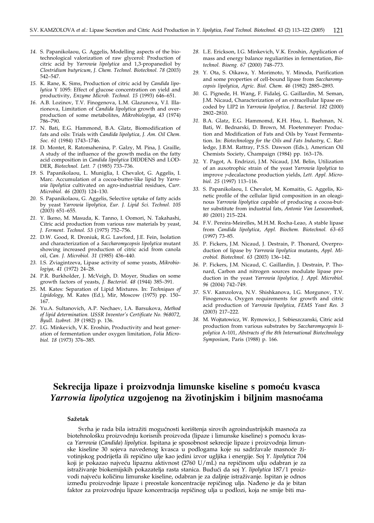- *14.* S. Papanikolaou, G. Aggelis, Modelling aspects of the biotechnological valorization of raw glycerol: Production of citric acid by *Yarrowia lipolytica* and 1,3-propanediol by *Clostridium butyricum*, *J. Chem. Technol. Biotechnol. 78* (2003) 542–547.
- *15.* K. Rane, K. Sims, Production of citric acid by *Candida lipolytica* Y 1095: Effect of glucose concentration on yield and productivity, *Enzyme Microb. Technol. 15* (1993) 646–651.
- *16.* A.B. Lozinov, T.V. Finogenova, L.M. Glazunova, V.I. Illarionova, Limitation of *Candida lipolytica* growth and overproduction of some metabolites, *Mikrobiologiya, 43* (1974) 786–790.
- *17.* N. Bati, E.G. Hammond, B.A. Glatz, Biomodification of fats and oils: Trials with *Candida lipolytica, J. Am. Oil Chem. Soc. 61* (1984) 1743–1746.
- *18.* D. Montet, R. Ratomahenina, P. Galzy, M. Pina, J. Graille, A study of the influence of the growth media on the fatty acid composition in *Candida lipolytica* DIDDENS and LOD-DER, *Biotechnol. Lett. 7* (1985) 733–736.
- *19.* S. Papanikolaou, L. Muniglia, I. Chevalot, G. Aggelis, I. Marc. Accumulation of a cocoa-butter-like lipid by *Yarrowia lipolytica* cultivated on agro-industrial residues, *Curr. Microbiol. 46* (2003) 124–130.
- *20.* S. Papanikolaou, G. Aggelis, Selective uptake of fatty acids by yeast *Yarrowia lipolytica, Eur. J. Lipid Sci. Technol. 105* (2003) 651–655.
- *21.* Y. Ikeno, M. Masuda, K. Tanno, I. Oomori, N. Takahashi, Citric acid production from various raw materials by yeast, *J. Ferment. Technol. 53* (1975) 752–756.
- *22.* D.W. Good, R. Droniuk, R.G. Lawford, J.E. Fein, Isolation and characterization of a *Saccharomycopsis lipolytica* mutant showing increased production of citric acid from canola oil, *Can. J. Microbiol. 31* (1985) 436–440.
- *23.* I.S. Zviagintzeva, Lipase activity of some yeasts, *Mikrobiologiya, 41* (1972) 24–28.
- *24.* P.R. Burkholder, J. McVeigh, D. Moyer, Studies on some growth factors of yeasts, *J. Bacteriol. 48* (1944) 385–391.
- *25.* M. Kates: Separation of Lipid Mixtures. In: *Techniques of Lipidology,* M. Kates (Ed.), Mir, Moscow (1975) pp. 150– 167.
- *26.* Yu.A. Sultanovich, A.P. Nechaev, I.A. Barsukova, *Method of lipid determination. USSR Inventor's Certificate No. 968072, Byull. Izobret. 39* (1982) p. 136.
- *27.* I.G. Minkevich, V.K. Eroshin, Productivity and heat generation of fermentation under oxygen limitation, *Folia Microbiol. 18* (1973) 376–385.
- *28.* L.E. Erickson, I.G. Minkevich, V.K. Eroshin, Application of mass and energy balance reguliarities in fermentation, *Biotechnol. Bioeng. 67* (2000) 748–773.
- *29.* Y. Ota, S. Oikawa, Y. Morimoto, Y. Minoda, Purification and some properties of cell-bound lipase from *Saccharomycopsis lipolytica*, *Agric. Biol. Chem. 46* (1982) 2885–2893.
- *30.* G. Pignede, H. Wang, F. Fidalej, G. Gaillardin, M. Seman, J.M. Nicaud, Characterization of an extracellular lipase encoded by LIP2 in *Yarrowia lipolytica, J. Bacteriol. 182* (2000) 2802–2810.
- *31.* B.A. Glatz, E.G. Hammomd, K.H. Hsu, L. Baehman, N. Bati, W. Bednarski, D. Brown, M. Floetenmeyer: Production and Modification of Fats and Oils by Yeast Fermentation. In: *Biotechnology for the Oils and Fats Industry,* C. Ratledge, J.B.M. Rattray, P.S.S. Dawson (Eds.), American Oil Chemists Society, Champaign (1984) pp. 163–176.
- *32.* Y. Pagot, A. Endrizzi, J.M. Nicaud, J.M. Belin, Utilization of an auxotrophic strain of the yeast *Yarrowia lipolytica* to improve *g*-decalactone production yields*, Lett. Appl. Microbiol. 25* (1997) 113–116.
- *33.* S. Papanikolaou, I. Chevalot, M. Komaitis, G. Aggelis, Kinetic profile of the cellular lipid composition in an oleaginous *Yarrowia lipolytica* capable of producing a cocoa-butter substitute from industrial fats, *Antonie Van Leeuwenhoek, 80* (2001) 215–224.
- *34.* F.V. Pereira-Meirelles, M.H.M. Rocha-Leao, A stable lipase from *Candida lipolytica*, *Appl. Biochem. Biotechnol. 63–65* (1997) 73–85.
- *35.* P. Fickers, J.M. Nicaud, J. Destrain, P. Thonard, Overproduction of lipase by *Yarrowia lipolytica* mutants, *Appl. Microbiol. Biotechnol. 63* (2003) 136–142.
- *36.* P. Fickers, J.M. Nicaud, C. Gaillardin, J. Destrain, P. Thonard, Carbon and nitrogen sources modulate lipase production in the yeast *Yarrowia lipolytica, J. Appl. Microbiol. 96* (2004) 742–749*.*
- *37.* S.V. Kamzolova, N.V. Shishkanova, I.G. Morgunov, T.V. Finogenova, Oxygen requirements for growth and citric acid production of *Yarrowia lipolytica, FEMS Yeast Res. 3* (2003) 217–222.
- *38.* M. Wojtatowicz, W. Rymowicz, J. Sobieszczanski, Citric acid production from various substrates by *Saccharomycopsis lipolytica* A-101, *Abstracts of the 8th International Biotechnology Symposium,* Paris (1988) p. 166.

## Sekrecija lipaze i proizvodnja limunske kiseline s pomoću kvasca *Yarrowia lipolytica* **uzgojenog na `ivotinjskim i biljnim masno}ama**

### **Sa`etak**

Svrha je rada bila istražiti mogućnosti korištenja sirovih agroindustrijskih masnoća za biotehnološku proizvodnju korisnih proizvoda (lipaze i limunske kiseline) s pomoću kvasca *Yarrowia* (*Candida*) *lipolytica*. Ispitana je sposobnost sekrecije lipaze i proizvodnja limunske kiseline 30 sojeva navedenog kvasca u podlogama koje su sadržavale masnoće životinjskog podrijetla ili repi~ino ulje kao jedini izvor ugljika i energije. Soj *Y. lipolytica* 704 koji je pokazao najveću lipaznu aktivnost (2760 U/mL) na repičinom ulju odabran je za istraživanje biokemijskih pokazatelja rasta stanica. Budući da soj Y. lipolytica 187/1 proizvodi najveću količinu limunske kiseline, odabran je za daljnje istraživanje. Ispitan je odnos između proizvodnje lipaze i preostale koncentracije repičinog ulja. Nađeno je da je bitan faktor za proizvodnju lipaze koncentracija repičinog ulja u podlozi, koja ne smije biti ma